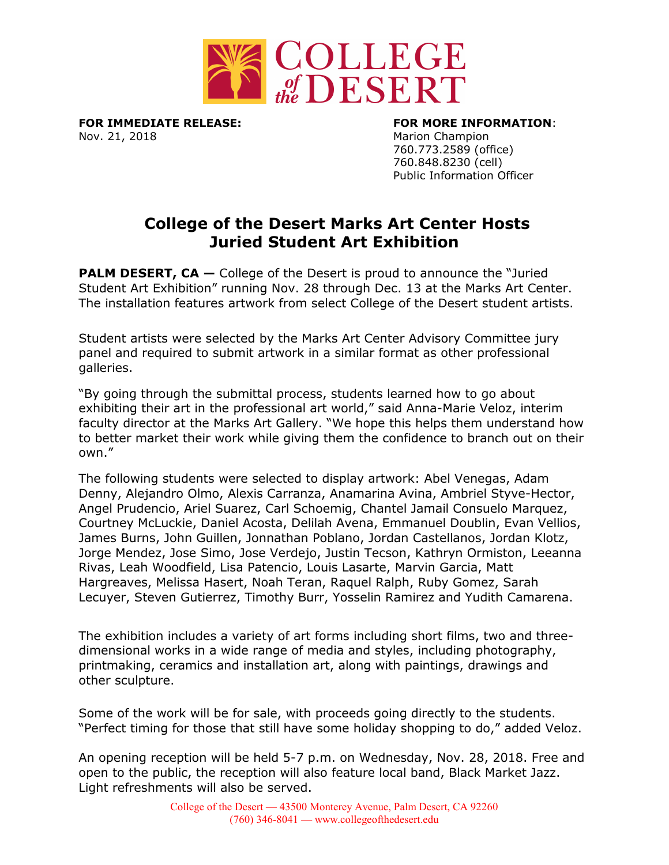

**FOR IMMEDIATE RELEASE: FOR MORE INFORMATION**: Nov. 21, 2018 Marion Champion

760.773.2589 (office) 760.848.8230 (cell) Public Information Officer

## **College of the Desert Marks Art Center Hosts Juried Student Art Exhibition**

**PALM DESERT, CA –** College of the Desert is proud to announce the "Juried" Student Art Exhibition" running Nov. 28 through Dec. 13 at the Marks Art Center. The installation features artwork from select College of the Desert student artists.

Student artists were selected by the Marks Art Center Advisory Committee jury panel and required to submit artwork in a similar format as other professional galleries.

"By going through the submittal process, students learned how to go about exhibiting their art in the professional art world," said Anna-Marie Veloz, interim faculty director at the Marks Art Gallery. "We hope this helps them understand how to better market their work while giving them the confidence to branch out on their own."

The following students were selected to display artwork: Abel Venegas, Adam Denny, Alejandro Olmo, Alexis Carranza, Anamarina Avina, Ambriel Styve-Hector, Angel Prudencio, Ariel Suarez, Carl Schoemig, Chantel Jamail Consuelo Marquez, Courtney McLuckie, Daniel Acosta, Delilah Avena, Emmanuel Doublin, Evan Vellios, James Burns, John Guillen, Jonnathan Poblano, Jordan Castellanos, Jordan Klotz, Jorge Mendez, Jose Simo, Jose Verdejo, Justin Tecson, Kathryn Ormiston, Leeanna Rivas, Leah Woodfield, Lisa Patencio, Louis Lasarte, Marvin Garcia, Matt Hargreaves, Melissa Hasert, Noah Teran, Raquel Ralph, Ruby Gomez, Sarah Lecuyer, Steven Gutierrez, Timothy Burr, Yosselin Ramirez and Yudith Camarena.

The exhibition includes a variety of art forms including short films, two and threedimensional works in a wide range of media and styles, including photography, printmaking, ceramics and installation art, along with paintings, drawings and other sculpture.

Some of the work will be for sale, with proceeds going directly to the students. "Perfect timing for those that still have some holiday shopping to do," added Veloz.

An opening reception will be held 5-7 p.m. on Wednesday, Nov. 28, 2018. Free and open to the public, the reception will also feature local band, Black Market Jazz. Light refreshments will also be served.